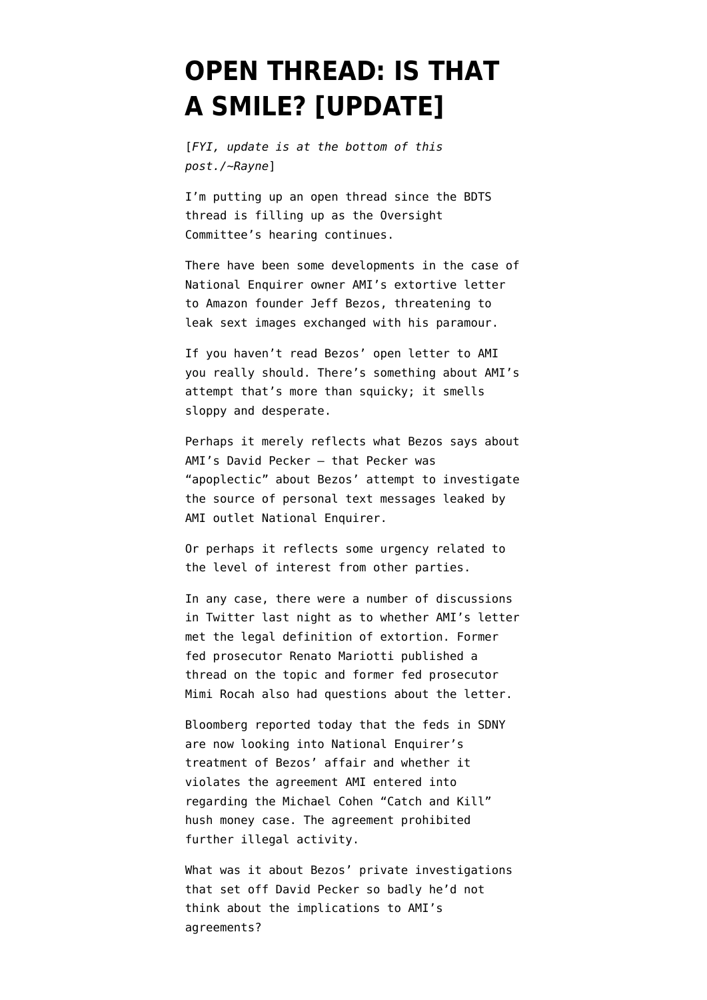## **[OPEN THREAD: IS THAT](https://www.emptywheel.net/2019/02/08/open-thread-is-that-a-smile/) [A SMILE? \[UPDATE\]](https://www.emptywheel.net/2019/02/08/open-thread-is-that-a-smile/)**

[*FYI, update is at the bottom of this post./~Rayne*]

I'm putting up an open thread since the BDTS thread is filling up as the Oversight Committee's hearing continues.

There have been some developments in the case of National Enquirer owner AMI's extortive letter to Amazon founder Jeff Bezos, threatening to leak [sext](https://www.urbandictionary.com/define.php?term=sext) images exchanged with his paramour.

If you haven't read [Bezos' open letter to AMI](https://medium.com/@jeffreypbezos/no-thank-you-mr-pecker-146e3922310f) you really should. There's something about AMI's attempt that's more than squicky; it smells sloppy and desperate.

Perhaps it merely reflects what Bezos says about AMI's David Pecker — that Pecker was "apoplectic" about Bezos' attempt to investigate the source of personal text messages leaked by AMI outlet National Enquirer.

Or perhaps it reflects some urgency related to the level of interest from other parties.

In any case, there were a number of discussions in Twitter last night as to whether AMI's letter met the legal definition of extortion. Former fed prosecutor [Renato Mariotti published a](https://twitter.com/renato_mariotti/status/1093658366583422978) [thread](https://twitter.com/renato_mariotti/status/1093658366583422978) on the topic and former fed prosecutor [Mimi Rocah also had questions](https://twitter.com/Mimirocah1/status/1093715839436709893) about the letter.

Bloomberg reported today that the [feds in SDNY](https://www.bloomberg.com/news/articles/2019-02-08/national-enquirer-s-ami-said-to-be-scrutinized-over-bezos-story) [are now looking into National Enquirer's](https://www.bloomberg.com/news/articles/2019-02-08/national-enquirer-s-ami-said-to-be-scrutinized-over-bezos-story) [treatment of Bezos' affair](https://www.bloomberg.com/news/articles/2019-02-08/national-enquirer-s-ami-said-to-be-scrutinized-over-bezos-story) and whether it violates the agreement AMI entered into regarding the Michael Cohen ["Catch and Kill"](https://www.theguardian.com/us-news/2018/dec/12/national-enquirer-trump-payments-david-pecker-catch-and-kill) [hush money case.](https://www.theguardian.com/us-news/2018/dec/12/national-enquirer-trump-payments-david-pecker-catch-and-kill) The agreement prohibited further illegal activity.

What was it about Bezos' private investigations that set off David Pecker so badly he'd not think about the implications to AMI's agreements?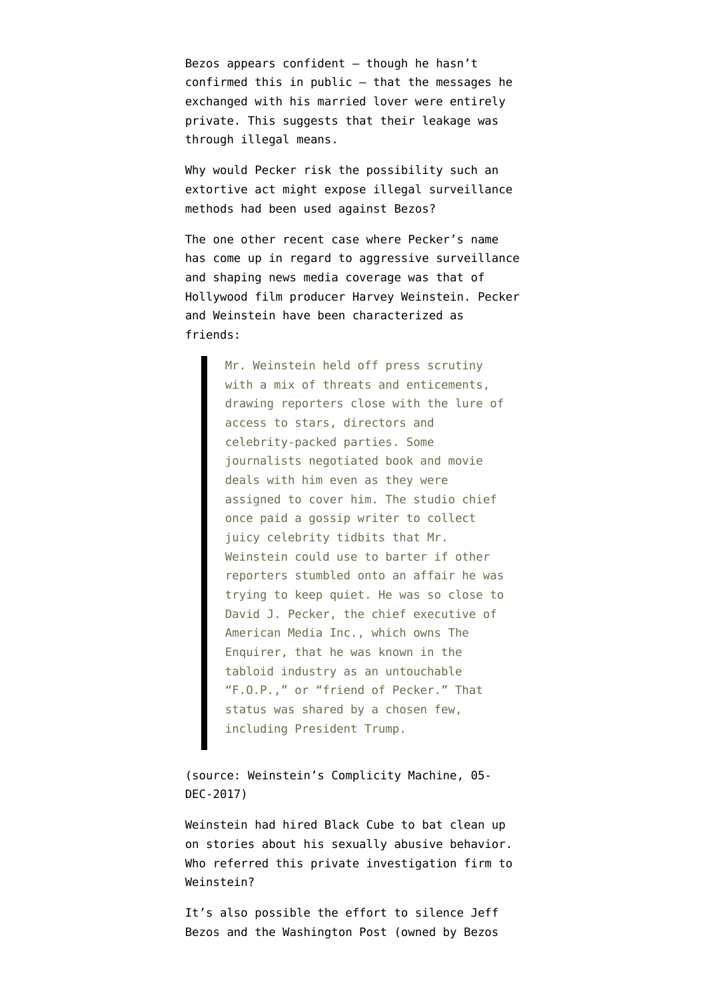Bezos appears confident  $-$  though he hasn't confirmed this in public — that the messages he exchanged with his married lover were entirely private. This suggests that their leakage was through illegal means.

Why would Pecker risk the possibility such an extortive act might expose illegal surveillance methods had been used against Bezos?

The one other recent case where Pecker's name has come up in regard to aggressive surveillance and shaping news media coverage was that of Hollywood film producer Harvey Weinstein. Pecker and Weinstein have been characterized as friends:

> Mr. Weinstein held off press scrutiny with a mix of threats and enticements, drawing reporters close with the lure of access to stars, directors and celebrity-packed parties. Some journalists negotiated book and movie deals with him even as they were assigned to cover him. The studio chief once paid a gossip writer to collect juicy celebrity tidbits that Mr. Weinstein could use to barter if other reporters stumbled onto an affair he was trying to keep quiet. He was so close to David J. Pecker, the chief executive of American Media Inc., which owns The Enquirer, that he was known in the tabloid industry as an untouchable "F.O.P.," or "friend of Pecker." That status was shared by a chosen few, including President Trump.

(source: [Weinstein's Complicity Machine,](https://www.nytimes.com/interactive/2017/12/05/us/harvey-weinstein-complicity.html) 05- DEC-2017)

Weinstein had hired Black Cube to bat clean up on stories about his sexually abusive behavior. Who referred this private investigation firm to Weinstein?

It's also possible the effort to silence Jeff Bezos and the Washington Post (owned by Bezos